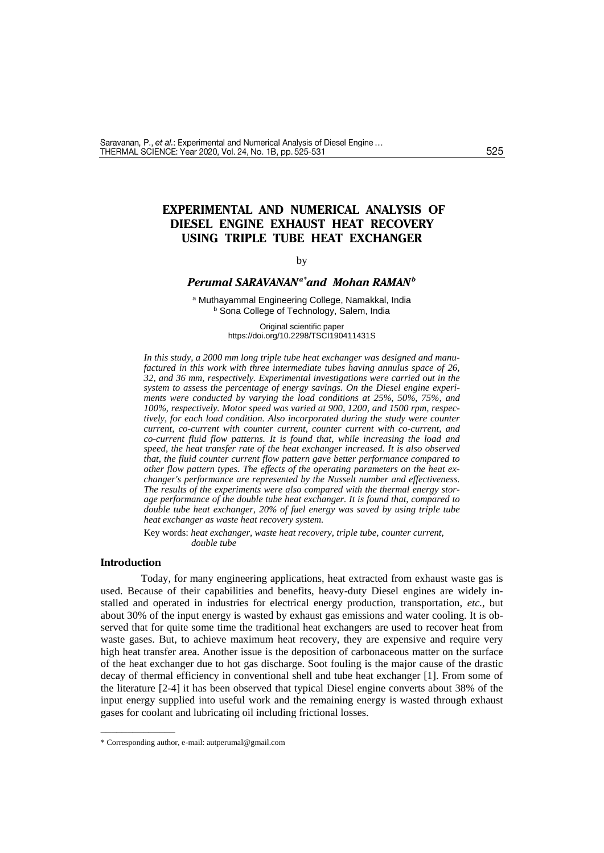# **EXPERIMENTAL AND NUMERICAL ANALYSIS OF DIESEL ENGINE EXHAUST HEAT RECOVERY USING TRIPLE TUBE HEAT EXCHANGER**

### by

# *Perumal SARAVANANa\*and Mohan RAMAN<sup>b</sup>*

<sup>a</sup> Muthayammal Engineering College, Namakkal, India **b** Sona College of Technology, Salem, India

> Original scientific paper https://doi.org/10.2298/TSCI190411431S

*In this study, a 2000 mm long triple tube heat exchanger was designed and manufactured in this work with three intermediate tubes having annulus space of 26, 32, and 36 mm, respectively. Experimental investigations were carried out in the system to assess the percentage of energy savings. On the Diesel engine experiments were conducted by varying the load conditions at 25%, 50%, 75%, and 100%, respectively. Motor speed was varied at 900, 1200, and 1500 rpm, respectively, for each load condition. Also incorporated during the study were counter current, co-current with counter current, counter current with co-current, and co-current fluid flow patterns. It is found that, while increasing the load and speed, the heat transfer rate of the heat exchanger increased. It is also observed that, the fluid counter current flow pattern gave better performance compared to other flow pattern types. The effects of the operating parameters on the heat exchanger's performance are represented by the Nusselt number and effectiveness. The results of the experiments were also compared with the thermal energy storage performance of the double tube heat exchanger. It is found that, compared to double tube heat exchanger, 20% of fuel energy was saved by using triple tube heat exchanger as waste heat recovery system.*

Key words: *heat exchanger, waste heat recovery, triple tube, counter current, double tube*

### **Introduction**

––––––––––––––

Today, for many engineering applications, heat extracted from exhaust waste gas is used. Because of their capabilities and benefits, heavy-duty Diesel engines are widely installed and operated in industries for electrical energy production, transportation, *etc.,* but about 30% of the input energy is wasted by exhaust gas emissions and water cooling. It is observed that for quite some time the traditional heat exchangers are used to recover heat from waste gases. But, to achieve maximum heat recovery, they are expensive and require very high heat transfer area. Another issue is the deposition of carbonaceous matter on the surface of the heat exchanger due to hot gas discharge. Soot fouling is the major cause of the drastic decay of thermal efficiency in conventional shell and tube heat exchanger [1]. From some of the literature [2-4] it has been observed that typical Diesel engine converts about 38% of the input energy supplied into useful work and the remaining energy is wasted through exhaust gases for coolant and lubricating oil including frictional losses.

<sup>\*</sup> Corresponding author, e-mail: [autperumal@gmail.com](mailto:autperumal@gmail.com)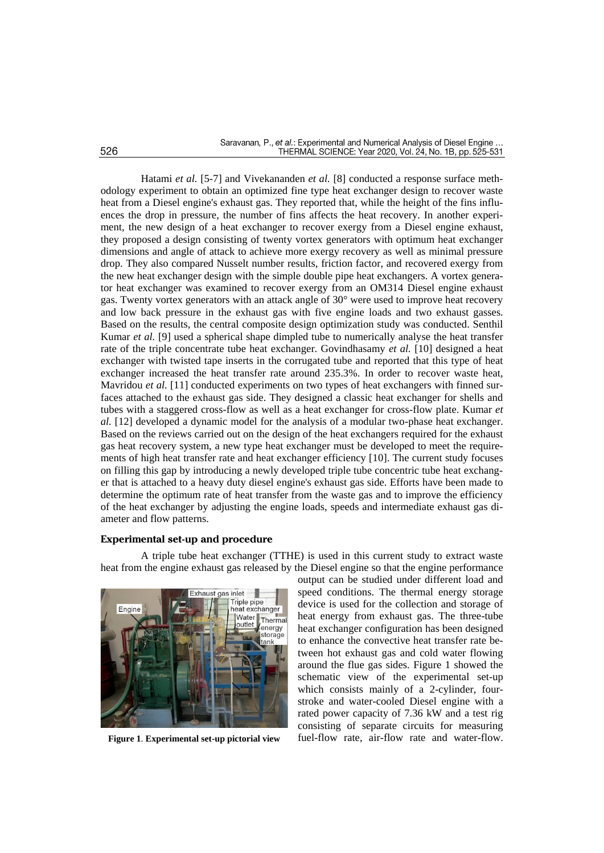Hatami *et al.* [5-7] and Vivekananden *et al.* [8] conducted a response surface methodology experiment to obtain an optimized fine type heat exchanger design to recover waste heat from a Diesel engine's exhaust gas. They reported that, while the height of the fins influences the drop in pressure, the number of fins affects the heat recovery. In another experiment, the new design of a heat exchanger to recover exergy from a Diesel engine exhaust, they proposed a design consisting of twenty vortex generators with optimum heat exchanger dimensions and angle of attack to achieve more exergy recovery as well as minimal pressure drop. They also compared Nusselt number results, friction factor, and recovered exergy from the new heat exchanger design with the simple double pipe heat exchangers. A vortex generator heat exchanger was examined to recover exergy from an OM314 Diesel engine exhaust gas. Twenty vortex generators with an attack angle of 30° were used to improve heat recovery and low back pressure in the exhaust gas with five engine loads and two exhaust gasses. Based on the results, the central composite design optimization study was conducted. Senthil Kumar *et al.* [9] used a spherical shape dimpled tube to numerically analyse the heat transfer rate of the triple concentrate tube heat exchanger. Govindhasamy *et al.* [10] designed a heat exchanger with twisted tape inserts in the corrugated tube and reported that this type of heat exchanger increased the heat transfer rate around 235.3%. In order to recover waste heat, Mavridou *et al.* [11] conducted experiments on two types of heat exchangers with finned surfaces attached to the exhaust gas side. They designed a classic heat exchanger for shells and tubes with a staggered cross-flow as well as a heat exchanger for cross-flow plate. Kumar *et al.* [12] developed a dynamic model for the analysis of a modular two-phase heat exchanger. Based on the reviews carried out on the design of the heat exchangers required for the exhaust gas heat recovery system, a new type heat exchanger must be developed to meet the requirements of high heat transfer rate and heat exchanger efficiency [10]. The current study focuses on filling this gap by introducing a newly developed triple tube concentric tube heat exchanger that is attached to a heavy duty diesel engine's exhaust gas side. Efforts have been made to determine the optimum rate of heat transfer from the waste gas and to improve the efficiency of the heat exchanger by adjusting the engine loads, speeds and intermediate exhaust gas diameter and flow patterns.

## **Experimental set-up and procedure**

A triple tube heat exchanger (TTHE) is used in this current study to extract waste heat from the engine exhaust gas released by the Diesel engine so that the engine performance



output can be studied under different load and speed conditions. The thermal energy storage device is used for the collection and storage of heat energy from exhaust gas. The three-tube heat exchanger configuration has been designed to enhance the convective heat transfer rate between hot exhaust gas and cold water flowing around the flue gas sides. Figure 1 showed the schematic view of the experimental set-up which consists mainly of a 2-cylinder, fourstroke and water-cooled Diesel engine with a rated power capacity of 7.36 kW and a test rig consisting of separate circuits for measuring **Figure 1**. **Experimental set-up pictorial view** fuel-flow rate, air-flow rate and water-flow.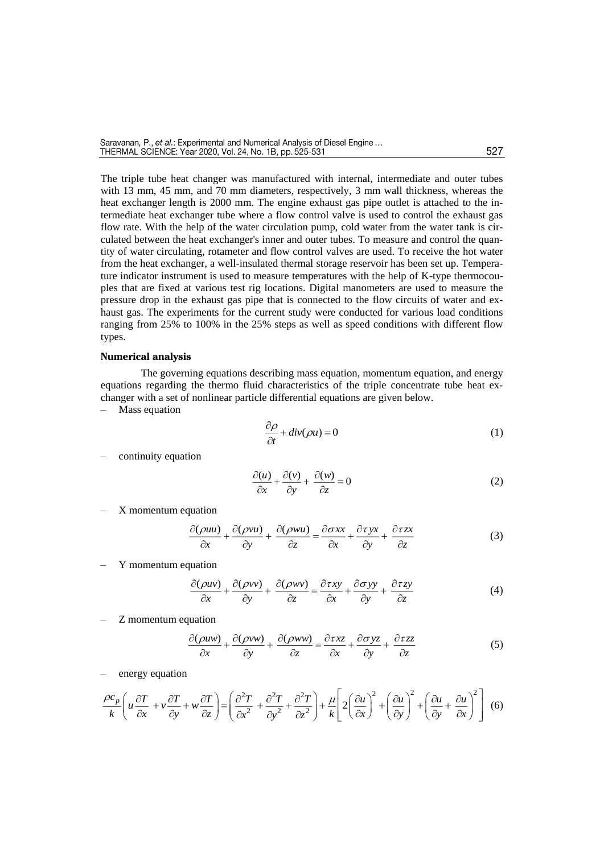The triple tube heat changer was manufactured with internal, intermediate and outer tubes with 13 mm, 45 mm, and 70 mm diameters, respectively, 3 mm wall thickness, whereas the heat exchanger length is 2000 mm. The engine exhaust gas pipe outlet is attached to the intermediate heat exchanger tube where a flow control valve is used to control the exhaust gas flow rate. With the help of the water circulation pump, cold water from the water tank is circulated between the heat exchanger's inner and outer tubes. To measure and control the quantity of water circulating, rotameter and flow control valves are used. To receive the hot water from the heat exchanger, a well-insulated thermal storage reservoir has been set up. Temperature indicator instrument is used to measure temperatures with the help of K-type thermocouples that are fixed at various test rig locations. Digital manometers are used to measure the pressure drop in the exhaust gas pipe that is connected to the flow circuits of water and exhaust gas. The experiments for the current study were conducted for various load conditions ranging from 25% to 100% in the 25% steps as well as speed conditions with different flow types.

#### **Numerical analysis**

The governing equations describing mass equation, momentum equation, and energy equations regarding the thermo fluid characteristics of the triple concentrate tube heat exchanger with a set of nonlinear particle differential equations are given below.

– Mass equation

$$
\frac{\partial \rho}{\partial t} + \operatorname{div}(\rho u) = 0 \tag{1}
$$

– continuity equation

$$
\frac{\partial(u)}{\partial x} + \frac{\partial(v)}{\partial y} + \frac{\partial(w)}{\partial z} = 0
$$
 (2)

– X momentum equation

$$
\frac{\partial(\rho uu)}{\partial x} + \frac{\partial(\rho vu)}{\partial y} + \frac{\partial(\rho wu)}{\partial z} = \frac{\partial \sigma xx}{\partial x} + \frac{\partial \tau yx}{\partial y} + \frac{\partial \tau zx}{\partial z}
$$
(3)

– Y momentum equation

$$
\frac{\partial(\rho uv)}{\partial x} + \frac{\partial(\rho vv)}{\partial y} + \frac{\partial(\rho wv)}{\partial z} = \frac{\partial \tau xy}{\partial x} + \frac{\partial \sigma yy}{\partial y} + \frac{\partial \tau zy}{\partial z}
$$
(4)

– Z momentum equation

$$
\frac{\partial(\rho u w)}{\partial x} + \frac{\partial(\rho v w)}{\partial y} + \frac{\partial(\rho w w)}{\partial z} = \frac{\partial \tau x}{\partial x} + \frac{\partial \sigma y}{\partial y} + \frac{\partial \tau z}{\partial z}
$$
(5)

– energy equation

$$
\frac{\rho c_p}{k} \left( u \frac{\partial T}{\partial x} + v \frac{\partial T}{\partial y} + w \frac{\partial T}{\partial z} \right) = \left( \frac{\partial^2 T}{\partial x^2} + \frac{\partial^2 T}{\partial y^2} + \frac{\partial^2 T}{\partial z^2} \right) + \frac{\mu}{k} \left[ 2 \left( \frac{\partial u}{\partial x} \right)^2 + \left( \frac{\partial u}{\partial y} \right)^2 + \left( \frac{\partial u}{\partial y} + \frac{\partial u}{\partial x} \right)^2 \right] (6)
$$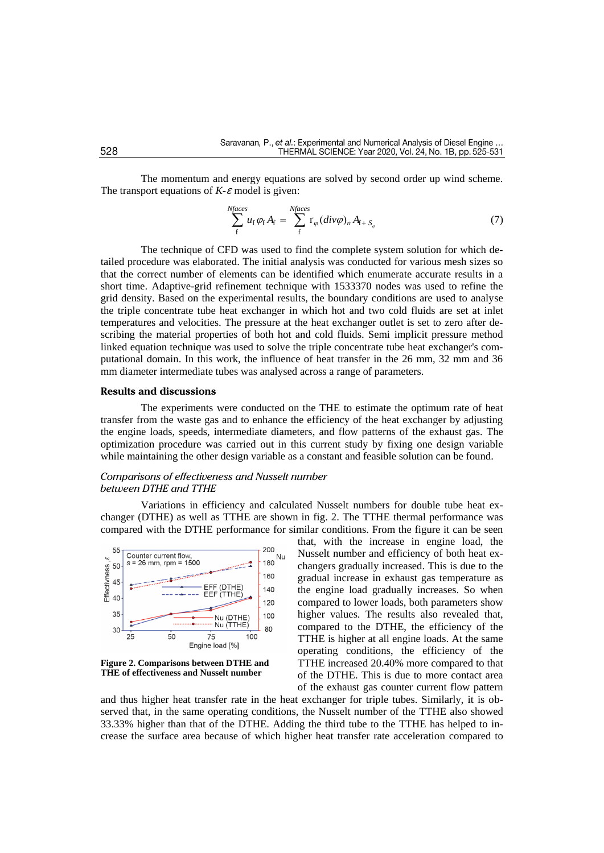The momentum and energy equations are solved by second order up wind scheme. The transport equations of  $K$ - $\varepsilon$  model is given:

$$
\sum_{f}^{Nfaces} u_f \varphi_f A_f = \sum_{f}^{Nfaces} r_{\varphi} (div \varphi)_n A_{f+S_{\varphi}}
$$
(7)

The technique of CFD was used to find the complete system solution for which detailed procedure was elaborated. The initial analysis was conducted for various mesh sizes so that the correct number of elements can be identified which enumerate accurate results in a short time. Adaptive-grid refinement technique with 1533370 nodes was used to refine the grid density. Based on the experimental results, the boundary conditions are used to analyse the triple concentrate tube heat exchanger in which hot and two cold fluids are set at inlet temperatures and velocities. The pressure at the heat exchanger outlet is set to zero after describing the material properties of both hot and cold fluids. Semi implicit pressure method linked equation technique was used to solve the triple concentrate tube heat exchanger's computational domain. In this work, the influence of heat transfer in the 26 mm, 32 mm and 36 mm diameter intermediate tubes was analysed across a range of parameters.

#### **Results and discussions**

The experiments were conducted on the THE to estimate the optimum rate of heat transfer from the waste gas and to enhance the efficiency of the heat exchanger by adjusting the engine loads, speeds, intermediate diameters, and flow patterns of the exhaust gas. The optimization procedure was carried out in this current study by fixing one design variable while maintaining the other design variable as a constant and feasible solution can be found.

### *Comparisons of effectiveness and Nusselt number between DTHE and TTHE*

Variations in efficiency and calculated Nusselt numbers for double tube heat exchanger (DTHE) as well as TTHE are shown in fig. 2. The TTHE thermal performance was compared with the DTHE performance for similar conditions. From the figure it can be seen





that, with the increase in engine load, the Nusselt number and efficiency of both heat exchangers gradually increased. This is due to the gradual increase in exhaust gas temperature as the engine load gradually increases. So when compared to lower loads, both parameters show higher values. The results also revealed that, compared to the DTHE, the efficiency of the TTHE is higher at all engine loads. At the same operating conditions, the efficiency of the TTHE increased 20.40% more compared to that of the DTHE. This is due to more contact area of the exhaust gas counter current flow pattern

and thus higher heat transfer rate in the heat exchanger for triple tubes. Similarly, it is observed that, in the same operating conditions, the Nusselt number of the TTHE also showed 33.33% higher than that of the DTHE. Adding the third tube to the TTHE has helped to increase the surface area because of which higher heat transfer rate acceleration compared to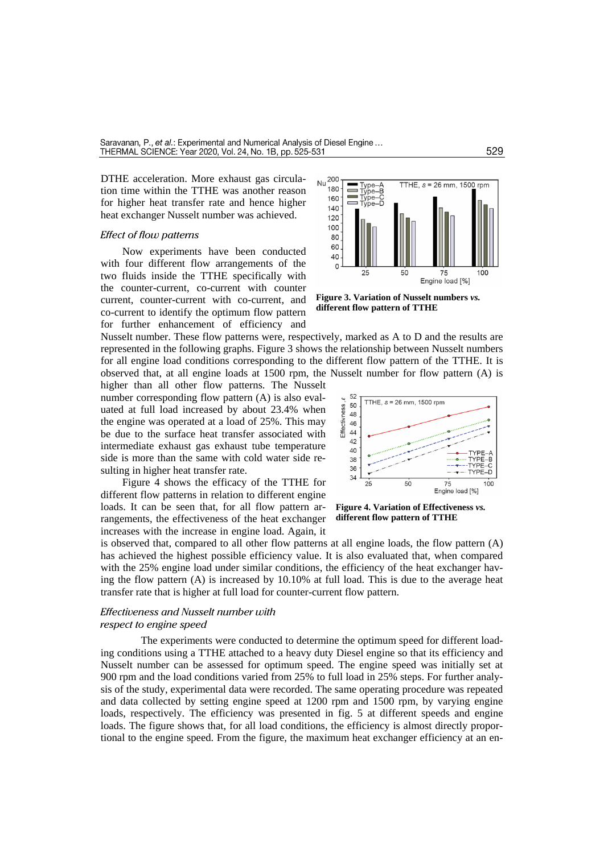DTHE acceleration. More exhaust gas circulation time within the TTHE was another reason for higher heat transfer rate and hence higher heat exchanger Nusselt number was achieved.

#### *Effect of flow patterns*

Now experiments have been conducted with four different flow arrangements of the two fluids inside the TTHE specifically with the counter-current, co-current with counter current, counter-current with co-current, and co-current to identify the optimum flow pattern for further enhancement of efficiency and



**Figure 3. Variation of Nusselt numbers** *vs.* **different flow pattern of TTHE**

Nusselt number. These flow patterns were, respectively, marked as A to D and the results are represented in the following graphs. Figure 3 shows the relationship between Nusselt numbers for all engine load conditions corresponding to the different flow pattern of the TTHE. It is observed that, at all engine loads at 1500 rpm, the Nusselt number for flow pattern (A) is

higher than all other flow patterns. The Nusselt number corresponding flow pattern (A) is also evaluated at full load increased by about 23.4% when the engine was operated at a load of 25%. This may be due to the surface heat transfer associated with intermediate exhaust gas exhaust tube temperature side is more than the same with cold water side resulting in higher heat transfer rate.

Figure 4 shows the efficacy of the TTHE for different flow patterns in relation to different engine loads. It can be seen that, for all flow pattern arrangements, the effectiveness of the heat exchanger increases with the increase in engine load. Again, it



**Figure 4. Variation of Effectiveness** *vs.* **different flow pattern of TTHE**

is observed that, compared to all other flow patterns at all engine loads, the flow pattern (A) has achieved the highest possible efficiency value. It is also evaluated that, when compared with the 25% engine load under similar conditions, the efficiency of the heat exchanger having the flow pattern  $(A)$  is increased by 10.10% at full load. This is due to the average heat transfer rate that is higher at full load for counter-current flow pattern.

## *Effectiveness and Nusselt number with respect to engine speed*

The experiments were conducted to determine the optimum speed for different loading conditions using a TTHE attached to a heavy duty Diesel engine so that its efficiency and Nusselt number can be assessed for optimum speed. The engine speed was initially set at 900 rpm and the load conditions varied from 25% to full load in 25% steps. For further analysis of the study, experimental data were recorded. The same operating procedure was repeated and data collected by setting engine speed at 1200 rpm and 1500 rpm, by varying engine loads, respectively. The efficiency was presented in fig. 5 at different speeds and engine loads. The figure shows that, for all load conditions, the efficiency is almost directly proportional to the engine speed. From the figure, the maximum heat exchanger efficiency at an en-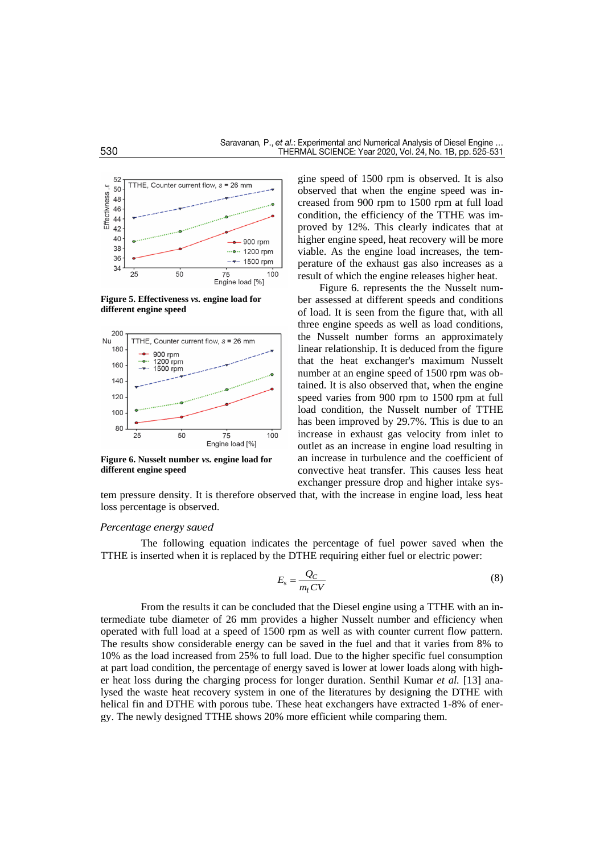

**Figure 5. Effectiveness** *vs.* **engine load for different engine speed**



**Figure 6. Nusselt number** *vs.* **engine load for different engine speed**

gine speed of 1500 rpm is observed. It is also observed that when the engine speed was increased from 900 rpm to 1500 rpm at full load condition, the efficiency of the TTHE was improved by 12%. This clearly indicates that at higher engine speed, heat recovery will be more viable. As the engine load increases, the temperature of the exhaust gas also increases as a result of which the engine releases higher heat.

Figure 6. represents the the Nusselt number assessed at different speeds and conditions of load. It is seen from the figure that, with all three engine speeds as well as load conditions, the Nusselt number forms an approximately linear relationship. It is deduced from the figure that the heat exchanger's maximum Nusselt number at an engine speed of 1500 rpm was obtained. It is also observed that, when the engine speed varies from 900 rpm to 1500 rpm at full load condition, the Nusselt number of TTHE has been improved by 29.7%. This is due to an increase in exhaust gas velocity from inlet to outlet as an increase in engine load resulting in an increase in turbulence and the coefficient of convective heat transfer. This causes less heat exchanger pressure drop and higher intake sys-

tem pressure density. It is therefore observed that, with the increase in engine load, less heat loss percentage is observed.

## *Percentage energy saved*

The following equation indicates the percentage of fuel power saved when the TTHE is inserted when it is replaced by the DTHE requiring either fuel or electric power:

$$
E_{\rm s} = \frac{Q_C}{m_{\rm f} CV} \tag{8}
$$

From the results it can be concluded that the Diesel engine using a TTHE with an intermediate tube diameter of 26 mm provides a higher Nusselt number and efficiency when operated with full load at a speed of 1500 rpm as well as with counter current flow pattern. The results show considerable energy can be saved in the fuel and that it varies from 8% to 10% as the load increased from 25% to full load. Due to the higher specific fuel consumption at part load condition, the percentage of energy saved is lower at lower loads along with higher heat loss during the charging process for longer duration. Senthil Kumar *et al.* [13] analysed the waste heat recovery system in one of the literatures by designing the DTHE with helical fin and DTHE with porous tube. These heat exchangers have extracted 1-8% of energy. The newly designed TTHE shows 20% more efficient while comparing them.